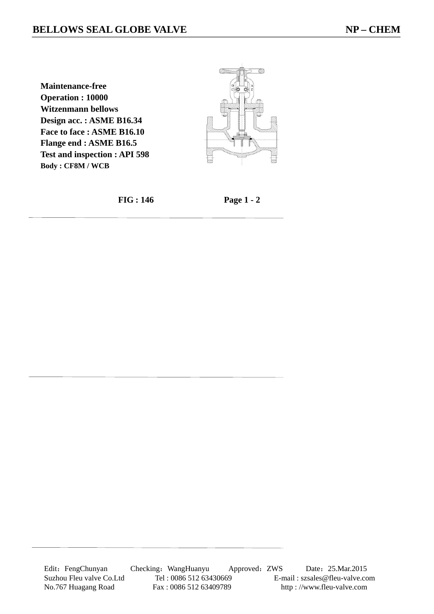**Maintenance-free Operation : 10000 Witzenmann bellows Design acc. : ASME B16.34 Face to face : ASME B16.10 Flange end : ASME B16.5 Test and inspection : API 598 Body : CF8M / WCB** 



 **FIG : 146 Page 1 - 2**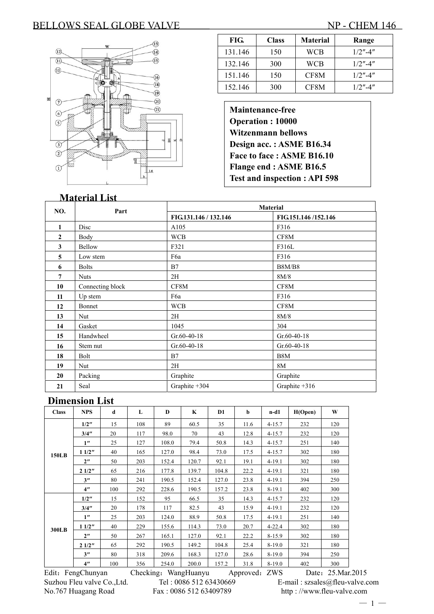#### BELLOWS SEAL GLOBE VALVE NP - CHEM 146



| FIG.    | <b>Class</b> | <b>Material</b> | Range      |
|---------|--------------|-----------------|------------|
| 131.146 | 150          | <b>WCB</b>      | $1/2$ "-4" |
| 132.146 | 300          | WCB             | $1/2$ "-4" |
| 151.146 | 150          | CF8M            | $1/2$ "-4" |
| 152.146 | 300          | CF8M            | $1/2$ "-4" |

**Maintenance-free Operation : 10000 Witzenmann bellows Design acc. : ASME B16.34 Face to face : ASME B16.10 Flange end : ASME B16.5 Test and inspection : API 598** 

#### **Material List Material** Part **Part Part Part Part Part Part FIG.131.146 / 132.146 FIG.151.146 /152.146 1** Disc A105 F316 **2** Body WCB CF8M **3** Bellow F321 F316L **5** Low stem F6a F316 **6** Bolts B8M/B8 **7** Nuts 2H 8M/8 **10** Connecting block CF8M CF8M **11 Up stem F6a F316 12** Bonnet WCB CF8M **13** Nut 8M/8 **14 Gasket** 1045 304 **15** Handwheel Gr.60-40-18 Gr.60-40-18 16 Stem nut Gr.60-40-18 Gr.60-40-18 **18** Bolt B7 B8M **19** | Nut | 2H 8M **20** Packing Graphite Graphite Graphite Graphite **21** Seal Graphite +304 Graphite +316

#### **Dimension List**

| <b>Class</b> | <b>NPS</b>         | d   | L   | D     | $\mathbf K$ | D <sub>1</sub> | b    | $n-d1$     | H(Open) | W   |
|--------------|--------------------|-----|-----|-------|-------------|----------------|------|------------|---------|-----|
| <b>150LB</b> | 1/2"               | 15  | 108 | 89    | 60.5        | 35             | 11.6 | $4 - 15.7$ | 232     | 120 |
|              | 3/4"               | 20  | 117 | 98.0  | 70          | 43             | 12.8 | $4 - 15.7$ | 232     | 120 |
|              | 1 <sup>''</sup>    | 25  | 127 | 108.0 | 79.4        | 50.8           | 14.3 | $4 - 15.7$ | 251     | 140 |
|              | 11/2"              | 40  | 165 | 127.0 | 98.4        | 73.0           | 17.5 | $4 - 15.7$ | 302     | 180 |
|              | 2 <sup>n</sup>     | 50  | 203 | 152.4 | 120.7       | 92.1           | 19.1 | $4 - 19.1$ | 302     | 180 |
|              | 21/2"              | 65  | 216 | 177.8 | 139.7       | 104.8          | 22.2 | $4 - 19.1$ | 321     | 180 |
|              | 3"                 | 80  | 241 | 190.5 | 152.4       | 127.0          | 23.8 | $4 - 19.1$ | 394     | 250 |
|              | 4"                 | 100 | 292 | 228.6 | 190.5       | 157.2          | 23.8 | $8-19.1$   | 402     | 300 |
|              | 1/2"               | 15  | 152 | 95    | 66.5        | 35             | 14.3 | $4 - 15.7$ | 232     | 120 |
|              | 3/4"               | 20  | 178 | 117   | 82.5        | 43             | 15.9 | $4 - 19.1$ | 232     | 120 |
|              | 1 <sup>''</sup>    | 25  | 203 | 124.0 | 88.9        | 50.8           | 17.5 | $4 - 19.1$ | 251     | 140 |
| 300LB        | 11/2"              | 40  | 229 | 155.6 | 114.3       | 73.0           | 20.7 | $4 - 22.4$ | 302     | 180 |
|              | $2^{\prime\prime}$ | 50  | 267 | 165.1 | 127.0       | 92.1           | 22.2 | $8 - 15.9$ | 302     | 180 |
|              | 21/2"              | 65  | 292 | 190.5 | 149.2       | 104.8          | 25.4 | $8-19.0$   | 321     | 180 |
|              | 3"                 | 80  | 318 | 209.6 | 168.3       | 127.0          | 28.6 | $8-19.0$   | 394     | 250 |
|              | $4^{\prime\prime}$ | 100 | 356 | 254.0 | 200.0       | 157.2          | 31.8 | $8 - 19.0$ | 402     | 300 |

Edit: FengChunyan Checking: WangHuanyu Approved: ZWS Date: 25.Mar.2015 No.767 Huagang Road Fax : 0086 512 63409789 http : //www.fleu-valve.com

Suzhou Fleu valve Co.,Ltd. Tel : 0086 512 63430669 E-mail : szsales@fleu-valve.com